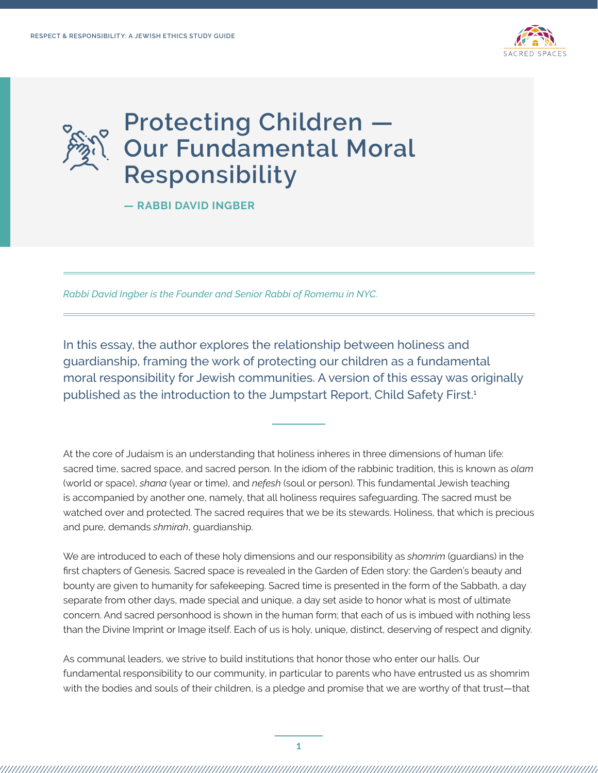

## **Protecting Children — Our Fundamental Moral Responsibility**

**— RABBI DAVID INGBER** 

*Rabbi David Ingber is the Founder and Senior Rabbi of Romemu in NYC.* 

In this essay, the author explores the relationship between holiness and guardianship, framing the work of protecting our children as a fundamental moral responsibility for Jewish communities. A version of this essay was originally published as the introduction to the Jumpstart Report, Child Safety First.<sup>1</sup>

At the core of Judaism is an understanding that holiness inheres in three dimensions of human life: sacred time, sacred space, and sacred person. In the idiom of the rabbinic tradition, this is known as *olam* (world or space), *shana* (year or time), and *nefesh* (soul or person). This fundamental Jewish teaching is accompanied by another one, namely, that all holiness requires safeguarding. The sacred must be watched over and protected. The sacred requires that we be its stewards. Holiness, that which is precious and pure, demands *shmirah*, guardianship.

We are introduced to each of these holy dimensions and our responsibility as *shomrim* (guardians) in the first chapters of Genesis. Sacred space is revealed in the Garden of Eden story: the Garden's beauty and bounty are given to humanity for safekeeping. Sacred time is presented in the form of the Sabbath, a day separate from other days, made special and unique, a day set aside to honor what is most of ultimate concern. And sacred personhood is shown in the human form; that each of us is imbued with nothing less than the Divine Imprint or Image itself. Each of us is holy, unique, distinct, deserving of respect and dignity.

As communal leaders, we strive to build institutions that honor those who enter our halls. Our fundamental responsibility to our community, in particular to parents who have entrusted us as shomrim with the bodies and souls of their children, is a pledge and promise that we are worthy of that trust—that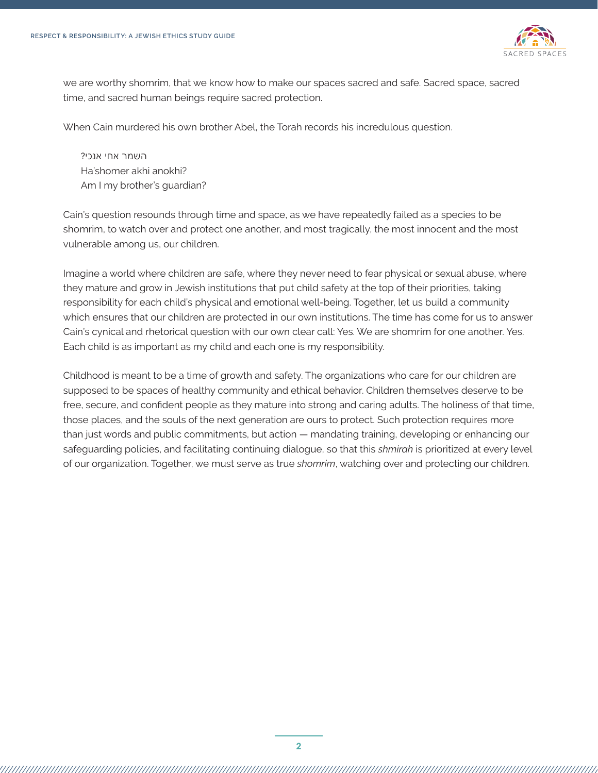

we are worthy shomrim, that we know how to make our spaces sacred and safe. Sacred space, sacred time, and sacred human beings require sacred protection.

When Cain murdered his own brother Abel, the Torah records his incredulous question.

השמר אחי אנכי? Ha'shomer akhi anokhi? Am I my brother's guardian?

Cain's question resounds through time and space, as we have repeatedly failed as a species to be shomrim, to watch over and protect one another, and most tragically, the most innocent and the most vulnerable among us, our children.

Imagine a world where children are safe, where they never need to fear physical or sexual abuse, where they mature and grow in Jewish institutions that put child safety at the top of their priorities, taking responsibility for each child's physical and emotional well-being. Together, let us build a community which ensures that our children are protected in our own institutions. The time has come for us to answer Cain's cynical and rhetorical question with our own clear call: Yes. We are shomrim for one another. Yes. Each child is as important as my child and each one is my responsibility.

Childhood is meant to be a time of growth and safety. The organizations who care for our children are supposed to be spaces of healthy community and ethical behavior. Children themselves deserve to be free, secure, and confident people as they mature into strong and caring adults. The holiness of that time, those places, and the souls of the next generation are ours to protect. Such protection requires more than just words and public commitments, but action — mandating training, developing or enhancing our safeguarding policies, and facilitating continuing dialogue, so that this *shmirah* is prioritized at every level of our organization. Together, we must serve as true *shomrim*, watching over and protecting our children.